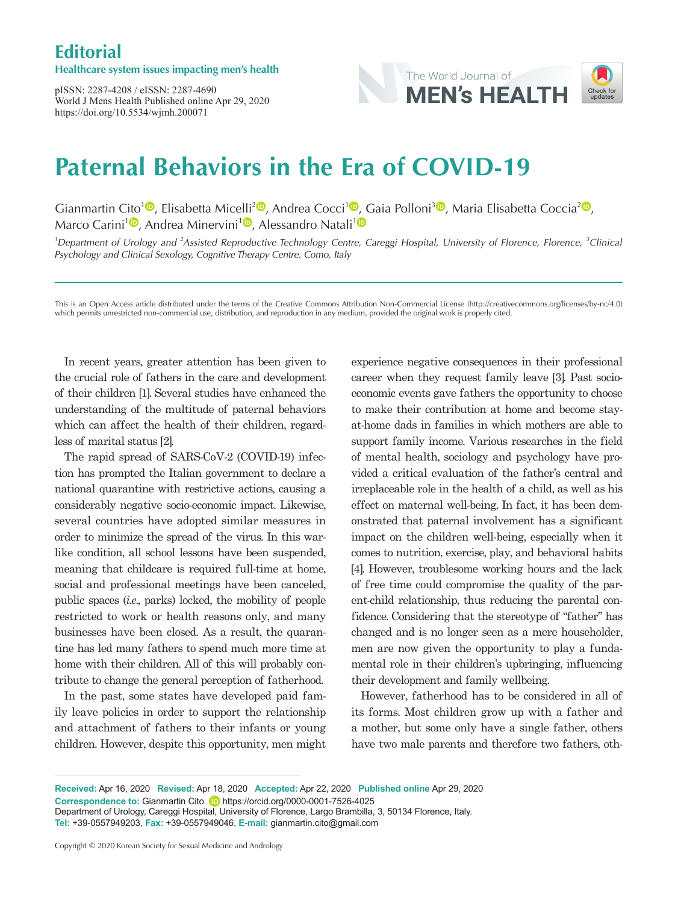## **Editorial**

#### **Healthcare system issues impacting men's health**

pISSN: 2287-4208 / eISSN: 2287-4690 World J Mens Health Published online Apr 29, 2020 https://doi.org/10.5534/wjmh.200071



# **Paternal Behaviors in the Era of COVID-19**

Gianmartin Cito<sup>[1](https://orcid.org/0000-0001-7526-4025)</sup><sup>®</sup>[,](https://orcid.org/0000-0003-0138-6294) Elisabetta Micelli<sup>2</sup><sup>®</sup>, Andrea Cocci<sup>1</sup><sup>®</sup>, Gaia Polloni<sup>[3](https://orcid.org/0000-0001-7375-5218)</sup><sup>®</sup>, Maria Elisabetta Coccia<sup>[2](https://orcid.org/0000-0001-5294-129X)</sup><sup>®</sup>, Marco Carini<sup>[1](https://orcid.org/0000-0003-4456-7626)</sup><sup>®</sup>[,](https://orcid.org/0000-0001-5140-4628) Andrea Minervini<sup>1</sup><sup>®</sup>, Alessandro Natali<sup>1</sup><sup>®</sup>

<sup>1</sup>Department of Urology and <sup>2</sup>Assisted Reproductive Technology Centre, Careggi Hospital, University of Florence, Florence, <sup>3</sup>Clinical Psychology and Clinical Sexology, Cognitive Therapy Centre, Como, Italy

This is an Open Access article distributed under the terms of the Creative Commons Attribution Non-Commercial License (http://creativecommons.org/licenses/by-nc/4.0) which permits unrestricted non-commercial use, distribution, and reproduction in any medium, provided the original work is properly cited.

In recent years, greater attention has been given to the crucial role of fathers in the care and development of their children [1]. Several studies have enhanced the understanding of the multitude of paternal behaviors which can affect the health of their children, regardless of marital status [2].

The rapid spread of SARS-CoV-2 (COVID-19) infection has prompted the Italian government to declare a national quarantine with restrictive actions, causing a considerably negative socio-economic impact. Likewise, several countries have adopted similar measures in order to minimize the spread of the virus. In this warlike condition, all school lessons have been suspended, meaning that childcare is required full-time at home, social and professional meetings have been canceled, public spaces (*i.e*., parks) locked, the mobility of people restricted to work or health reasons only, and many businesses have been closed. As a result, the quarantine has led many fathers to spend much more time at home with their children. All of this will probably contribute to change the general perception of fatherhood.

In the past, some states have developed paid family leave policies in order to support the relationship and attachment of fathers to their infants or young children. However, despite this opportunity, men might

experience negative consequences in their professional career when they request family leave [3]. Past socioeconomic events gave fathers the opportunity to choose to make their contribution at home and become stayat-home dads in families in which mothers are able to support family income. Various researches in the field of mental health, sociology and psychology have provided a critical evaluation of the father's central and irreplaceable role in the health of a child, as well as his effect on maternal well-being. In fact, it has been demonstrated that paternal involvement has a significant impact on the children well-being, especially when it comes to nutrition, exercise, play, and behavioral habits [4]. However, troublesome working hours and the lack of free time could compromise the quality of the parent-child relationship, thus reducing the parental confidence. Considering that the stereotype of "father" has changed and is no longer seen as a mere householder, men are now given the opportunity to play a fundamental role in their children's upbringing, influencing their development and family wellbeing.

However, fatherhood has to be considered in all of its forms. Most children grow up with a father and a mother, but some only have a single father, others have two male parents and therefore two fathers, oth-

**Received:** Apr 16, 2020 **Revised:** Apr 18, 2020 **Accepted:** Apr 22, 2020 **Published online** Apr 29, 2020 **Correspondence to:** Gianmartin Cito **D** https://orcid.org/0000-0001-7526-4025 Department of Urology, Careggi Hospital, University of Florence, Largo Brambilla, 3, 50134 Florence, Italy. **Tel:** +39-0557949203, **Fax:** +39-0557949046, **E-mail:** gianmartin.cito@gmail.com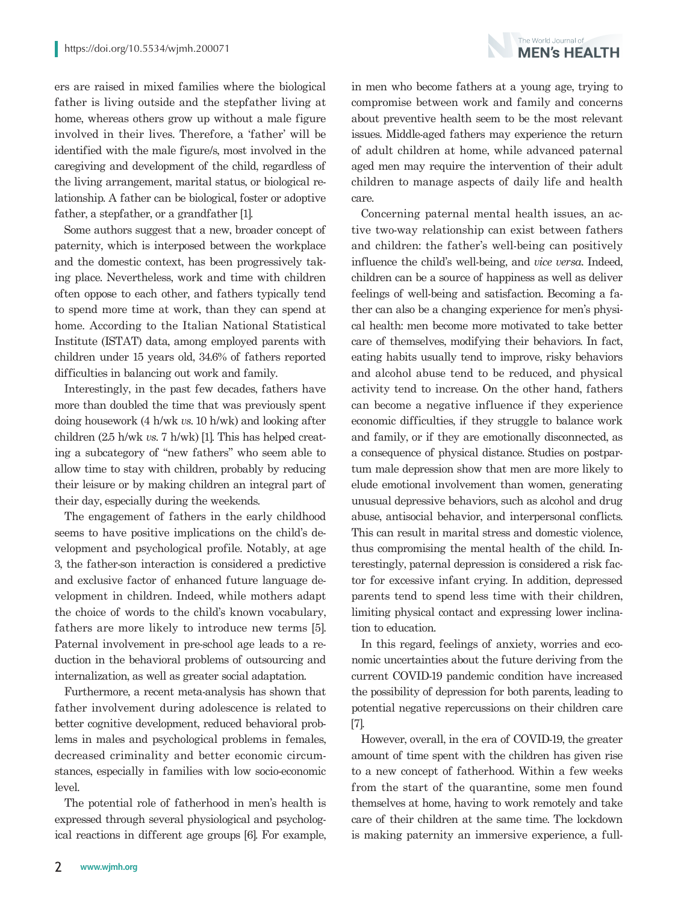The World Journal of **MFN's HFAITH** 

ers are raised in mixed families where the biological father is living outside and the stepfather living at home, whereas others grow up without a male figure involved in their lives. Therefore, a 'father' will be identified with the male figure/s, most involved in the caregiving and development of the child, regardless of the living arrangement, marital status, or biological relationship. A father can be biological, foster or adoptive father, a stepfather, or a grandfather [1].

Some authors suggest that a new, broader concept of paternity, which is interposed between the workplace and the domestic context, has been progressively taking place. Nevertheless, work and time with children often oppose to each other, and fathers typically tend to spend more time at work, than they can spend at home. According to the Italian National Statistical Institute (ISTAT) data, among employed parents with children under 15 years old, 34.6% of fathers reported difficulties in balancing out work and family.

Interestingly, in the past few decades, fathers have more than doubled the time that was previously spent doing housework (4 h/wk *vs*. 10 h/wk) and looking after children (2.5 h/wk *vs*. 7 h/wk) [1]. This has helped creating a subcategory of "new fathers" who seem able to allow time to stay with children, probably by reducing their leisure or by making children an integral part of their day, especially during the weekends.

The engagement of fathers in the early childhood seems to have positive implications on the child's development and psychological profile. Notably, at age 3, the father-son interaction is considered a predictive and exclusive factor of enhanced future language development in children. Indeed, while mothers adapt the choice of words to the child's known vocabulary, fathers are more likely to introduce new terms [5]. Paternal involvement in pre-school age leads to a reduction in the behavioral problems of outsourcing and internalization, as well as greater social adaptation.

Furthermore, a recent meta-analysis has shown that father involvement during adolescence is related to better cognitive development, reduced behavioral problems in males and psychological problems in females, decreased criminality and better economic circumstances, especially in families with low socio-economic level.

The potential role of fatherhood in men's health is expressed through several physiological and psychological reactions in different age groups [6]. For example, in men who become fathers at a young age, trying to compromise between work and family and concerns about preventive health seem to be the most relevant issues. Middle-aged fathers may experience the return of adult children at home, while advanced paternal aged men may require the intervention of their adult children to manage aspects of daily life and health care.

Concerning paternal mental health issues, an active two-way relationship can exist between fathers and children: the father's well-being can positively influence the child's well-being, and *vice versa*. Indeed, children can be a source of happiness as well as deliver feelings of well-being and satisfaction. Becoming a father can also be a changing experience for men's physical health: men become more motivated to take better care of themselves, modifying their behaviors. In fact, eating habits usually tend to improve, risky behaviors and alcohol abuse tend to be reduced, and physical activity tend to increase. On the other hand, fathers can become a negative influence if they experience economic difficulties, if they struggle to balance work and family, or if they are emotionally disconnected, as a consequence of physical distance. Studies on postpartum male depression show that men are more likely to elude emotional involvement than women, generating unusual depressive behaviors, such as alcohol and drug abuse, antisocial behavior, and interpersonal conflicts. This can result in marital stress and domestic violence, thus compromising the mental health of the child. Interestingly, paternal depression is considered a risk factor for excessive infant crying. In addition, depressed parents tend to spend less time with their children, limiting physical contact and expressing lower inclination to education.

In this regard, feelings of anxiety, worries and economic uncertainties about the future deriving from the current COVID-19 pandemic condition have increased the possibility of depression for both parents, leading to potential negative repercussions on their children care [7].

However, overall, in the era of COVID-19, the greater amount of time spent with the children has given rise to a new concept of fatherhood. Within a few weeks from the start of the quarantine, some men found themselves at home, having to work remotely and take care of their children at the same time. The lockdown is making paternity an immersive experience, a full